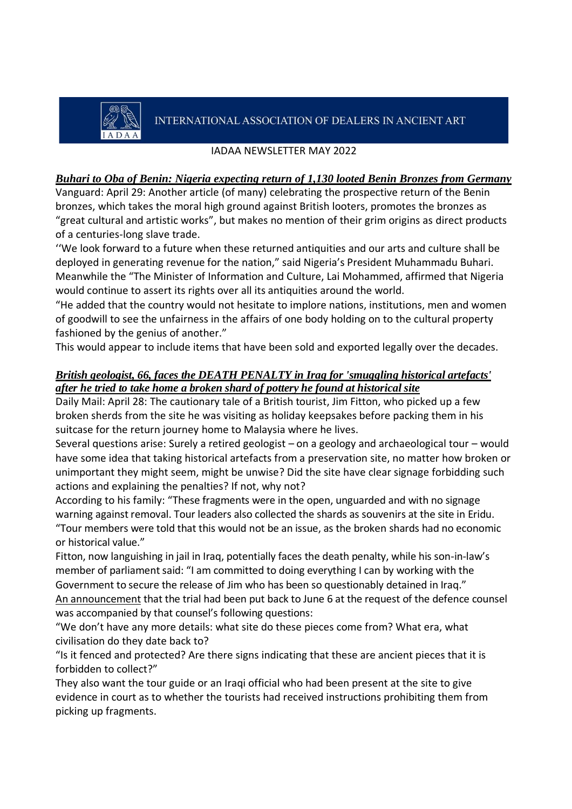# INTERNATIONAL ASSOCIATION OF DEALERS IN ANCIENT ART

### IADAA NEWSLETTER MAY 2022

### *[Buhari to Oba of Benin: Nigeria expecting return of 1,130 looted Benin Bronzes from Germany](https://www.vanguardngr.com/2022/04/buhari-to-oba-of-benin-nigeria-expecting-return-of-1130-looted-benin-bronzes-from-germany/)*

Vanguard: April 29: Another article (of many) celebrating the prospective return of the Benin bronzes, which takes the moral high ground against British looters, promotes the bronzes as "great cultural and artistic works", but makes no mention of their grim origins as direct products of a centuries-long slave trade.

''We look forward to a future when these returned antiquities and our arts and culture shall be deployed in generating revenue for the nation," said Nigeria's President Muhammadu Buhari. Meanwhile the "The Minister of Information and Culture, Lai Mohammed, affirmed that Nigeria would continue to assert its rights over all its antiquities around the world.

"He added that the country would not hesitate to implore nations, institutions, men and women of goodwill to see the unfairness in the affairs of one body holding on to the cultural property fashioned by the genius of another."

This would appear to include items that have been sold and exported legally over the decades.

### *[British geologist, 66, faces the DEATH PENALTY in Iraq for 'smuggling](https://www.dailymail.co.uk/news/article-10763907/British-geologist-66-faces-DEATH-PENALTY-Iraq-smuggling-historical-artefacts.html) historical artefacts' [after he tried to take home a broken shard of pottery he found at historical site](https://www.dailymail.co.uk/news/article-10763907/British-geologist-66-faces-DEATH-PENALTY-Iraq-smuggling-historical-artefacts.html)*

Daily Mail: April 28: The cautionary tale of a British tourist, Jim Fitton, who picked up a few broken sherds from the site he was visiting as holiday keepsakes before packing them in his suitcase for the return journey home to Malaysia where he lives.

Several questions arise: Surely a retired geologist – on a geology and archaeological tour – would have some idea that taking historical artefacts from a preservation site, no matter how broken or unimportant they might seem, might be unwise? Did the site have clear signage forbidding such actions and explaining the penalties? If not, why not?

According to his family: "These fragments were in the open, unguarded and with no signage warning against removal. Tour leaders also collected the shards as souvenirs at the site in Eridu.

"Tour members were told that this would not be an issue, as the broken shards had no economic or historical value."

Fitton, now languishing in jail in Iraq, potentially faces the death penalty, while his son-in-law's member of parliament said: "I am committed to doing everything I can by working with the Government to secure the release of Jim who has been so questionably detained in Iraq." [An announcement](https://www.france24.com/en/live-news/20220522-iraq-trial-of-briton-and-german-for-antiquity-theft-adjourned) that the trial had been put back to June 6 at the request of the defence counsel was accompanied by that counsel's following questions:

"We don't have any more details: what site do these pieces come from? What era, what civilisation do they date back to?

"Is it fenced and protected? Are there signs indicating that these are ancient pieces that it is forbidden to collect?"

They also want the tour guide or an Iraqi official who had been present at the site to give evidence in court as to whether the tourists had received instructions prohibiting them from picking up fragments.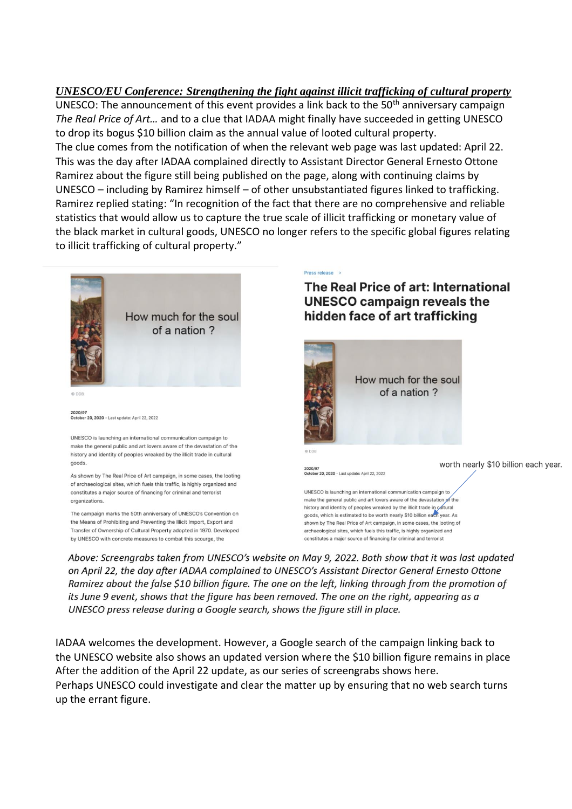*UNESCO/EU Conference: [Strengthening the fight against illicit trafficking of cultural property](https://events.unesco.org/event?id=UNESCOEU_Conference_Strengthening_the_fight_against_illicit_trafficking_of_cultural_property4195937560)* UNESCO: The announcement of this event provides a link back to the  $50<sup>th</sup>$  anniversary campaign *The Real Price of Art…* and to a clue that IADAA might finally have succeeded in getting UNESCO to drop its bogus \$10 billion claim as the annual value of looted cultural property. The clue comes from the notification of when the relevant web page was last updated: April 22. This was the day after IADAA complained directly to Assistant Director General Ernesto Ottone Ramirez about the figure still being published on the page, along with continuing claims by UNESCO – including by Ramirez himself – of other unsubstantiated figures linked to trafficking. Ramirez replied stating: "In recognition of the fact that there are no comprehensive and reliable statistics that would allow us to capture the true scale of illicit trafficking or monetary value of the black market in cultural goods, UNESCO no longer refers to the specific global figures relating to illicit trafficking of cultural property."



Above: Screengrabs taken from UNESCO's website on May 9, 2022. Both show that it was last updated on April 22, the day after IADAA complained to UNESCO's Assistant Director General Ernesto Ottone Ramirez about the false \$10 billion figure. The one on the left, linking through from the promotion of its June 9 event, shows that the figure has been removed. The one on the right, appearing as a UNESCO press release during a Google search, shows the figure still in place.

IADAA welcomes the development. However, a Google search of the campaign linking back to the UNESCO website also shows an updated version where the \$10 billion figure remains in place After the addition of the April 22 update, as our series of screengrabs shows here. Perhaps UNESCO could investigate and clear the matter up by ensuring that no web search turns up the errant figure.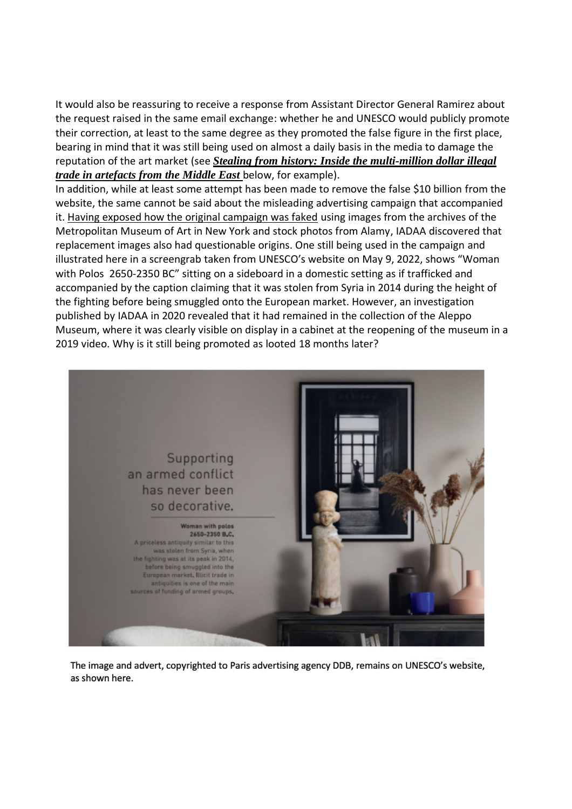It would also be reassuring to receive a response from Assistant Director General Ramirez about the request raised in the same email exchange: whether he and UNESCO would publicly promote their correction, at least to the same degree as they promoted the false figure in the first place, bearing in mind that it was still being used on almost a daily basis in the media to damage the reputation of the art market (see *[Stealing from history: Inside the multi-million dollar illegal](https://www.thenationalnews.com/weekend/2022/05/20/inside-the-multimillion-dollar-illegal-trade-of-artefacts-from-the-middle/)  [trade in artefacts from the Middle East](https://www.thenationalnews.com/weekend/2022/05/20/inside-the-multimillion-dollar-illegal-trade-of-artefacts-from-the-middle/)* below, for example).

In addition, while at least some attempt has been made to remove the false \$10 billion from the website, the same cannot be said about the misleading advertising campaign that accompanied it. [Having exposed how the original campaign was faked](https://iadaa.org/wp-content/uploads/2020/12/IADAA-Newsletter-November-2020.pdf) using images from the archives of the Metropolitan Museum of Art in New York and stock photos from Alamy, IADAA discovered that replacement images also had questionable origins. One still being used in the campaign and illustrated here in a screengrab taken from UNESCO's website on May 9, 2022, shows "Woman with Polos 2650-2350 BC" sitting on a sideboard in a domestic setting as if trafficked and accompanied by the caption claiming that it was stolen from Syria in 2014 during the height of the fighting before being smuggled onto the European market. However, an investigation published by IADAA in 2020 revealed that it had remained in the collection of the Aleppo Museum, where it was clearly visible on display in a cabinet at the reopening of the museum in a 2019 video. Why is it still being promoted as looted 18 months later?



The image and advert, copyrighted to Paris advertising agency DDB, remains on UNESCO's website, as shown here.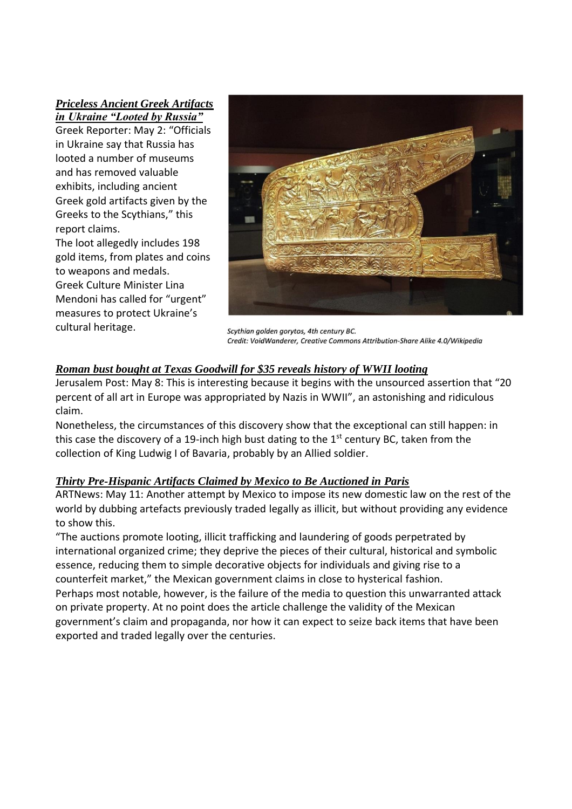*[Priceless Ancient Greek Artifacts](https://greekreporter.com/2022/05/02/ancient-greek-artifacts-looted-ukraine-russia/)  [in Ukraine "Looted by Russia"](https://greekreporter.com/2022/05/02/ancient-greek-artifacts-looted-ukraine-russia/)*

Greek Reporter: May 2: "Officials in Ukraine say that Russia has looted a number of museums and has removed valuable exhibits, including [ancient](https://greekreporter.com/ancient-greece/)  [Greek](https://greekreporter.com/ancient-greece/) gold artifacts given by the Greeks to the Scythians," this report claims.

The loot allegedly includes 198 gold items, from plates and coins to weapons and medals. Greek Culture Minister Lina Mendoni has called for "urgent" measures to protect Ukraine's cultural heritage.



Scythian golden gorytos, 4th century BC. Credit: VoidWanderer, Creative Commons Attribution-Share Alike 4.0/Wikipedia

### *[Roman bust bought at Texas Goodwill for \\$35 reveals history of WWII looting](https://www.jpost.com/j-spot/article-706146)*

Jerusalem Post: May 8: This is interesting because it begins with the unsourced assertion that "20 percent of all art in Europe was appropriated by Nazis in WWII", an astonishing and ridiculous claim.

Nonetheless, the circumstances of this discovery show that the exceptional can still happen: in this case the discovery of a 19-inch high bust dating to the  $1<sup>st</sup>$  century BC, taken from the collection of King Ludwig I of Bavaria, probably by an Allied soldier.

### *[Thirty Pre-Hispanic Artifacts Claimed by Mexico to Be Auctioned in](https://www.artnews.com/art-news/news/thirty-pre-hispanic-artifacts-claimed-by-mexico-to-be-auctioned-in-paris-1234628408/) Paris*

ARTNews: May 11: Another attempt by Mexico to impose its new domestic law on the rest of the world by dubbing artefacts previously traded legally as illicit, but without providing any evidence to show this.

"The auctions promote looting, illicit trafficking and laundering of goods perpetrated by international organized crime; they deprive the pieces of their cultural, historical and symbolic essence, reducing them to simple decorative objects for individuals and giving rise to a counterfeit market," the Mexican government claims in close to hysterical fashion. Perhaps most notable, however, is the failure of the media to question this unwarranted attack on private property. At no point does the article challenge the validity of the Mexican government's claim and propaganda, nor how it can expect to seize back items that have been exported and traded legally over the centuries.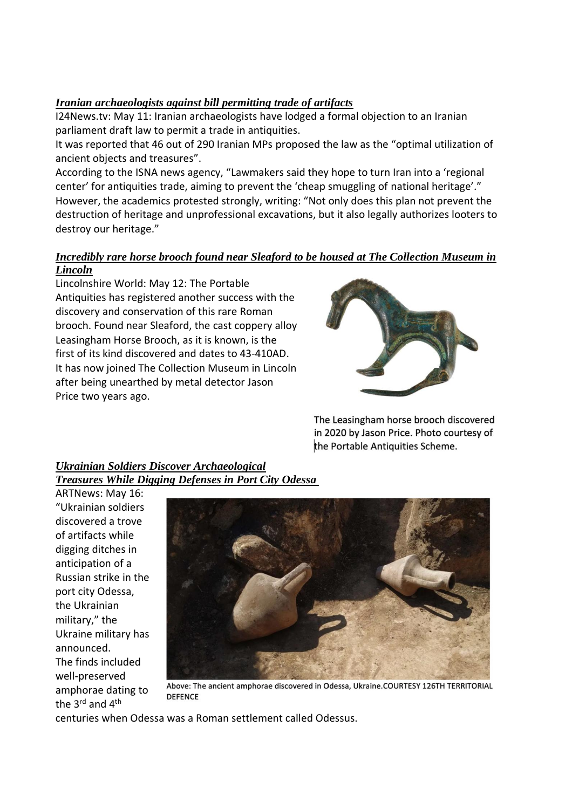### *[Iranian archaeologists against bill permitting trade of artifacts](https://www.i24news.tv/en/news/middle-east/iran-eastern-states/1652275304-iranian-archaeologists-against-bill-permitting-trade-of-artifacts)*

I24News.tv: May 11: Iranian archaeologists have lodged a formal objection to an Iranian parliament draft law to permit a trade in antiquities.

It was reported that 46 out of 290 Iranian MPs proposed the law as the "optimal utilization of ancient objects and treasures".

According to the ISNA news agency, "Lawmakers said they hope to turn Iran into a 'regional center' for antiquities trade, aiming to prevent the 'cheap smuggling of national heritage'." However, the academics protested strongly, writing: "Not only does this plan not prevent the destruction of heritage and unprofessional excavations, but it also legally authorizes looters to destroy our heritage."

## *[Incredibly rare horse brooch found near Sleaford to be housed at The Collection Museum in](https://www.lincolnshireworld.com/heritage-and-retro/heritage/incredibly-rare-horse-brooch-found-near-sleaford-to-be-housed-at-the-collection-museum-in-lincoln-3692013)*

### *[Lincoln](https://www.lincolnshireworld.com/heritage-and-retro/heritage/incredibly-rare-horse-brooch-found-near-sleaford-to-be-housed-at-the-collection-museum-in-lincoln-3692013)*

Lincolnshire World: May 12: The Portable Antiquities has registered another success with the discovery and conservation of this rare Roman brooch. Found near Sleaford, the cast coppery alloy Leasingham Horse Brooch, as it is known, is the first of its kind discovered and dates to 43-410AD. It has now joined The Collection Museum in Lincoln after being unearthed by metal detector Jason Price two years ago.



The Leasingham horse brooch discovered in 2020 by Jason Price. Photo courtesy of the Portable Antiquities Scheme.

### *[Ukrainian Soldiers Discover Archaeological](https://www.artnews.com/art-news/news/ukrainian-soldiers-discover-archeological-treasures-while-digging-defenses-in-port-city-odessa-1234628795/)  [Treasures While Digging Defenses in Port City](https://www.artnews.com/art-news/news/ukrainian-soldiers-discover-archeological-treasures-while-digging-defenses-in-port-city-odessa-1234628795/) Odessa*

ARTNews: May 16: "Ukrainian soldiers discovered a trove of artifacts while digging ditches in anticipation of a Russian strike in the port city Odessa, the Ukrainian military," the Ukraine military has announced. The finds included well-preserved amphorae dating to the 3<sup>rd</sup> and 4<sup>th</sup>



Above: The ancient amphorae discovered in Odessa, Ukraine.COURTESY 126TH TERRITORIAL **DEFENCE** 

centuries when Odessa was a Roman settlement called Odessus.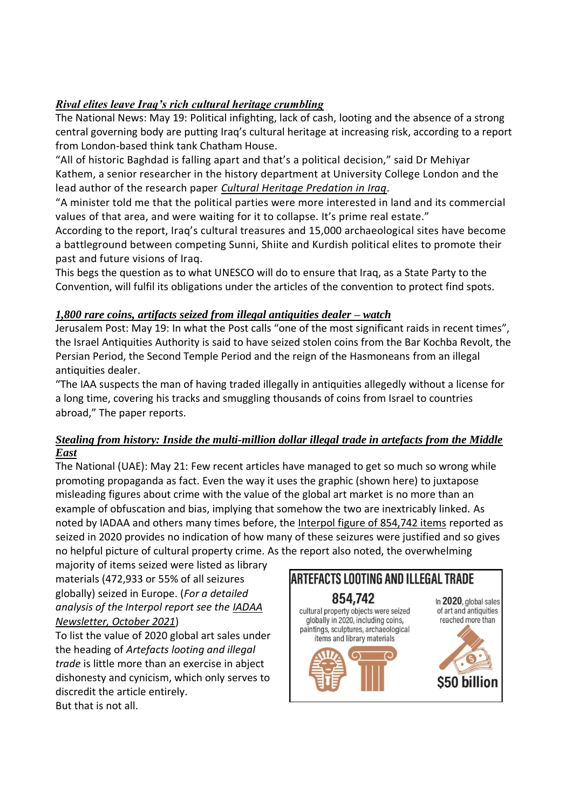### *[Rival elites leave Iraq's rich cultural heritage crumbling](https://www.thenationalnews.com/world/uk-news/2022/05/17/rival-elites-leave-iraqs-rich-cultural-heritage-crumbling/)*

The National News: May 19: Political infighting, lack of cash, looting and the absence of a strong central governing body are putting Iraq's cultural heritage at increasing risk, according to a report from London-based think tank Chatham House.

"All of historic Baghdad is falling apart and that's a political decision," said Dr Mehiyar Kathem, a senior researcher in the history department at University College London and the lead author of the research paper *[Cultural Heritage Predation in Iraq.](https://www.chathamhouse.org/sites/default/files/2022-05/2022-03-24-cultural-heritage-predation-iraq-kathem-robson-tahan_0.pdf)*

"A minister told me that the political parties were more interested in land and its commercial values of that area, and were waiting for it to collapse. It's prime real estate."

According to the report, Iraq's cultural treasures and 15,000 archaeological sites have become a battleground between competing Sunni, Shiite and Kurdish political elites to promote their past and future visions of Iraq.

This begs the question as to what UNESCO will do to ensure that Iraq, as a State Party to the Convention, will fulfil its obligations under the articles of the convention to protect find spots.

### *[1,800 rare coins, artifacts seized from illegal antiquities dealer –](https://www.jpost.com/archaeology/article-707042) watch*

Jerusalem Post: May 19: In what the Post calls "one of the most significant raids in recent times", the Israel Antiquities Authority is said to have seized stolen coins from the Bar Kochba Revolt, the Persian Period, the Second Temple Period and the reign of the Hasmoneans from an illegal antiquities dealer.

"The IAA suspects the man of having traded illegally in antiquities allegedly without a license for a long time, covering his tracks and smuggling thousands of coins from Israel to countries abroad," The paper reports.

### *[Stealing from history: Inside the multi-million dollar illegal trade in artefacts from the Middle](https://www.thenationalnews.com/weekend/2022/05/20/inside-the-multimillion-dollar-illegal-trade-of-artefacts-from-the-middle/)  [East](https://www.thenationalnews.com/weekend/2022/05/20/inside-the-multimillion-dollar-illegal-trade-of-artefacts-from-the-middle/)*

The National (UAE): May 21: Few recent articles have managed to get so much so wrong while promoting propaganda as fact. Even the way it uses the graphic (shown here) to juxtapose misleading figures about crime with the value of the global art market is no more than an example of obfuscation and bias, implying that somehow the two are inextricably linked. As noted by IADAA and others many times before, the [Interpol figure of 854,742 items](https://www.interpol.int/en/News-and-Events/News/2021/Cultural-property-crime-thrives-throughout-pandemic-says-new-INTERPOL-survey) reported as seized in 2020 provides no indication of how many of these seizures were justified and so gives no helpful picture of cultural property crime. As the report also noted, the overwhelming

majority of items seized were listed as library materials (472,933 or 55% of all seizures globally) seized in Europe. (*For a detailed analysis of the Interpol report see the [IADAA](https://iadaa.org/wp-content/uploads/2021/11/10-IADAA-Newsletter-October-2021.pdf)  [Newsletter, October 2021](https://iadaa.org/wp-content/uploads/2021/11/10-IADAA-Newsletter-October-2021.pdf)*)

To list the value of 2020 global art sales under the heading of *Artefacts looting and illegal trade* is little more than an exercise in abject dishonesty and cynicism, which only serves to discredit the article entirely. But that is not all.

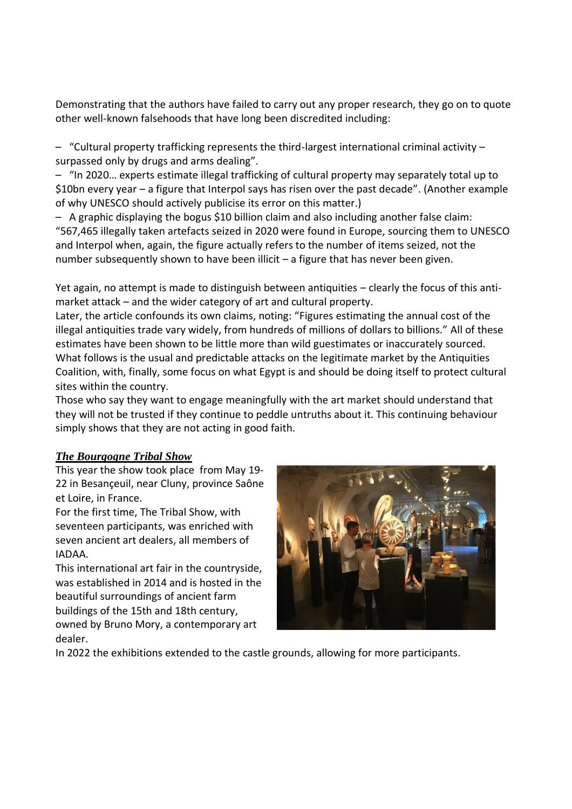Demonstrating that the authors have failed to carry out any proper research, they go on to quote other well-known falsehoods that have long been discredited including:

– "Cultural property trafficking represents the third-largest international criminal activity – surpassed only by drugs and arms dealing".

– "In 2020… experts estimate illegal trafficking of cultural property may separately total up to \$10bn every year – a figure that Interpol says has risen over the past decade". (Another example of why UNESCO should actively publicise its error on this matter.)

– A graphic displaying the bogus \$10 billion claim and also including another false claim: "567,465 illegally taken artefacts seized in 2020 were found in Europe, sourcing them to UNESCO and Interpol when, again, the figure actually refers to the number of items seized, not the number subsequently shown to have been illicit – a figure that has never been given.

Yet again, no attempt is made to distinguish between antiquities – clearly the focus of this antimarket attack – and the wider category of art and cultural property.

Later, the article confounds its own claims, noting: "Figures estimating the annual cost of the illegal antiquities trade vary widely, from hundreds of millions of dollars to billions." All of these estimates have been shown to be little more than wild guestimates or inaccurately sourced. What follows is the usual and predictable attacks on the legitimate market by the Antiquities Coalition, with, finally, some focus on what Egypt is and should be doing itself to protect cultural sites within the country.

Those who say they want to engage meaningfully with the art market should understand that they will not be trusted if they continue to peddle untruths about it. This continuing behaviour simply shows that they are not acting in good faith.

### *[The Bourgogne Tribal Show](https://www.tribal.show/en/)*

This year the show took place from May 19- 22 in Besançeuil, near Cluny, province Saône et Loire, in France.

For the first time, The Tribal Show, with seventeen participants, was enriched with seven ancient art dealers, all members of IADAA.

This international art fair in the countryside, was established in 2014 and is hosted in the beautiful surroundings of ancient farm buildings of the 15th and 18th century, owned by Bruno Mory, a contemporary art dealer.



In 2022 the exhibitions extended to the castle grounds, allowing for more participants.